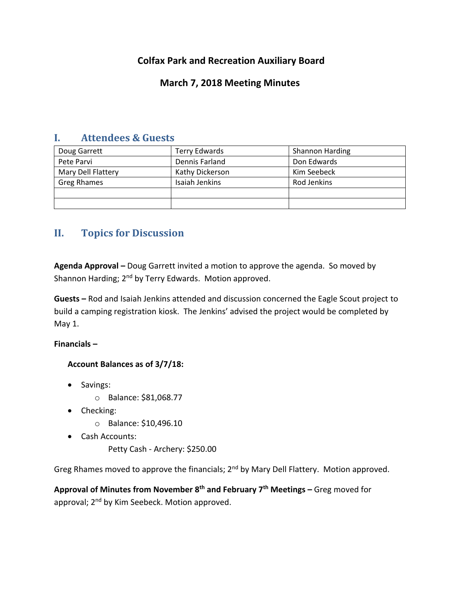## **Colfax Park and Recreation Auxiliary Board**

## **March 7, 2018 Meeting Minutes**

### **I. Attendees & Guests**

| Doug Garrett       | Terry Edwards   | <b>Shannon Harding</b> |
|--------------------|-----------------|------------------------|
| Pete Parvi         | Dennis Farland  | Don Edwards            |
| Mary Dell Flattery | Kathy Dickerson | Kim Seebeck            |
| <b>Greg Rhames</b> | Isaiah Jenkins  | Rod Jenkins            |
|                    |                 |                        |
|                    |                 |                        |

# **II. Topics for Discussion**

**Agenda Approval –** Doug Garrett invited a motion to approve the agenda. So moved by Shannon Harding; 2<sup>nd</sup> by Terry Edwards. Motion approved.

**Guests –** Rod and Isaiah Jenkins attended and discussion concerned the Eagle Scout project to build a camping registration kiosk. The Jenkins' advised the project would be completed by May 1.

**Financials –**

**Account Balances as of 3/7/18:**

- Savings:
	- o Balance: \$81,068.77
- Checking:
	- o Balance: \$10,496.10
- Cash Accounts:

Petty Cash - Archery: \$250.00

Greg Rhames moved to approve the financials; 2<sup>nd</sup> by Mary Dell Flattery. Motion approved.

**Approval of Minutes from November 8th and February 7th Meetings –** Greg moved for approval; 2<sup>nd</sup> by Kim Seebeck. Motion approved.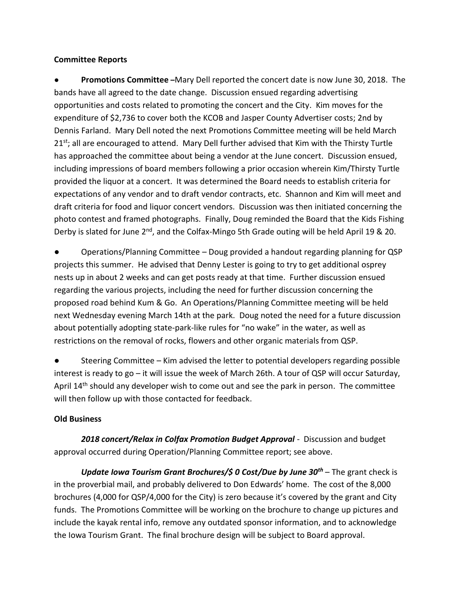#### **Committee Reports**

● **Promotions Committee –**Mary Dell reported the concert date is now June 30, 2018. The bands have all agreed to the date change. Discussion ensued regarding advertising opportunities and costs related to promoting the concert and the City. Kim moves for the expenditure of \$2,736 to cover both the KCOB and Jasper County Advertiser costs; 2nd by Dennis Farland. Mary Dell noted the next Promotions Committee meeting will be held March 21<sup>st</sup>; all are encouraged to attend. Mary Dell further advised that Kim with the Thirsty Turtle has approached the committee about being a vendor at the June concert. Discussion ensued, including impressions of board members following a prior occasion wherein Kim/Thirsty Turtle provided the liquor at a concert. It was determined the Board needs to establish criteria for expectations of any vendor and to draft vendor contracts, etc. Shannon and Kim will meet and draft criteria for food and liquor concert vendors. Discussion was then initiated concerning the photo contest and framed photographs. Finally, Doug reminded the Board that the Kids Fishing Derby is slated for June 2<sup>nd</sup>, and the Colfax-Mingo 5th Grade outing will be held April 19 & 20.

Operations/Planning Committee – Doug provided a handout regarding planning for QSP projects this summer. He advised that Denny Lester is going to try to get additional osprey nests up in about 2 weeks and can get posts ready at that time. Further discussion ensued regarding the various projects, including the need for further discussion concerning the proposed road behind Kum & Go. An Operations/Planning Committee meeting will be held next Wednesday evening March 14th at the park. Doug noted the need for a future discussion about potentially adopting state-park-like rules for "no wake" in the water, as well as restrictions on the removal of rocks, flowers and other organic materials from QSP.

Steering Committee – Kim advised the letter to potential developers regarding possible interest is ready to go – it will issue the week of March 26th. A tour of QSP will occur Saturday, April 14<sup>th</sup> should any developer wish to come out and see the park in person. The committee will then follow up with those contacted for feedback.

### **Old Business**

*2018 concert/Relax in Colfax Promotion Budget Approval* - Discussion and budget approval occurred during Operation/Planning Committee report; see above.

*Update Iowa Tourism Grant Brochures/\$ 0 Cost/Due by June 30th* – The grant check is in the proverbial mail, and probably delivered to Don Edwards' home. The cost of the 8,000 brochures (4,000 for QSP/4,000 for the City) is zero because it's covered by the grant and City funds. The Promotions Committee will be working on the brochure to change up pictures and include the kayak rental info, remove any outdated sponsor information, and to acknowledge the Iowa Tourism Grant. The final brochure design will be subject to Board approval.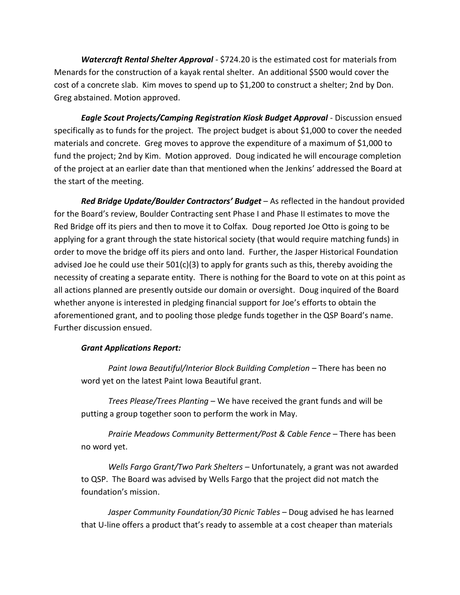*Watercraft Rental Shelter Approval* - \$724.20 is the estimated cost for materials from Menards for the construction of a kayak rental shelter. An additional \$500 would cover the cost of a concrete slab. Kim moves to spend up to \$1,200 to construct a shelter; 2nd by Don. Greg abstained. Motion approved.

*Eagle Scout Projects/Camping Registration Kiosk Budget Approval* - Discussion ensued specifically as to funds for the project. The project budget is about \$1,000 to cover the needed materials and concrete. Greg moves to approve the expenditure of a maximum of \$1,000 to fund the project; 2nd by Kim. Motion approved. Doug indicated he will encourage completion of the project at an earlier date than that mentioned when the Jenkins' addressed the Board at the start of the meeting.

*Red Bridge Update/Boulder Contractors' Budget* – As reflected in the handout provided for the Board's review, Boulder Contracting sent Phase I and Phase II estimates to move the Red Bridge off its piers and then to move it to Colfax. Doug reported Joe Otto is going to be applying for a grant through the state historical society (that would require matching funds) in order to move the bridge off its piers and onto land. Further, the Jasper Historical Foundation advised Joe he could use their 501(c)(3) to apply for grants such as this, thereby avoiding the necessity of creating a separate entity. There is nothing for the Board to vote on at this point as all actions planned are presently outside our domain or oversight. Doug inquired of the Board whether anyone is interested in pledging financial support for Joe's efforts to obtain the aforementioned grant, and to pooling those pledge funds together in the QSP Board's name. Further discussion ensued.

#### *Grant Applications Report:*

*Paint Iowa Beautiful/Interior Block Building Completion* – There has been no word yet on the latest Paint Iowa Beautiful grant.

*Trees Please/Trees Planting* – We have received the grant funds and will be putting a group together soon to perform the work in May.

*Prairie Meadows Community Betterment/Post & Cable Fence* – There has been no word yet.

*Wells Fargo Grant/Two Park Shelters* – Unfortunately, a grant was not awarded to QSP. The Board was advised by Wells Fargo that the project did not match the foundation's mission.

*Jasper Community Foundation/30 Picnic Tables* – Doug advised he has learned that U-line offers a product that's ready to assemble at a cost cheaper than materials